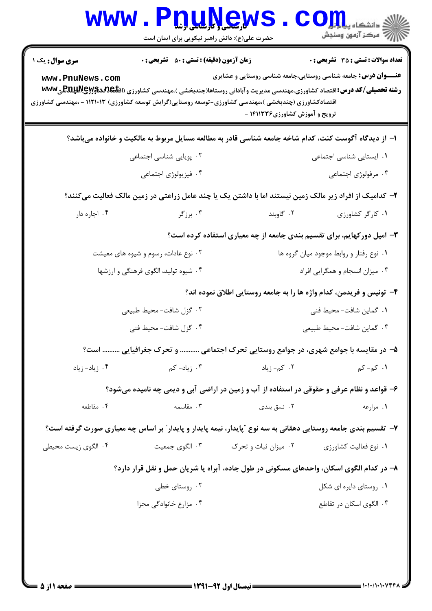|                        | www.PnuNews<br>حضرت علی(ع): دانش راهبر نیکویی برای ایمان است                                                   |                                |                                                                        |
|------------------------|----------------------------------------------------------------------------------------------------------------|--------------------------------|------------------------------------------------------------------------|
| <b>سری سوال :</b> یک ۱ | <b>زمان آزمون (دقیقه) : تستی : 50 ٪ تشریحی : 0</b>                                                             |                                | <b>تعداد سوالات : تستي : 35 - تشريحي : 0</b>                           |
| www.PnuNews.com        | اقتصادکشاورزی (چندبخشی )،مهندسی کشاورزی-توسعه روستایی(گرایش توسعه کشاورزی) ۱۱۲۱۰۱۳ - ،مهندسی کشاورزی           | ترویج و آموزش کشاورزی۱۴۱۱۳۳۶ - | <b>عنـــوان درس:</b> جامعه شناسی روستایی،جامعه شناسی روستایی و عشایری  |
|                        | ا– از دیدگاه آگوست کنت، کدام شاخه جامعه شناسی قادر به مطالعه مسایل مربوط به مالکیت و خانواده میباشد؟           |                                |                                                                        |
|                        | ۰۲ پویایی شناسی اجتماعی                                                                                        |                                | ۰۱ ایستایی شناسی اجتماعی                                               |
|                        | ۰۴ فیزیولوژی اجتماعی                                                                                           |                                | ۰۳ مرفولوژی اجتماعی                                                    |
|                        | ۲– کدامیک از افراد زیر مالک زمین نیستند اما با داشتن یک یا چند عامل زراعتی در زمین مالک فعالیت میکنند؟         |                                |                                                                        |
| ۰۴ اجاره دار           | ۰۳ برزگر                                                                                                       | ۰۲ گاوبند                      | ٠١ كاركر كشاورزى                                                       |
|                        |                                                                                                                |                                | ۳- امیل دورکهایم، برای تقسیم بندی جامعه از چه معیاری استفاده کرده است؟ |
|                        | ۰۲ نوع عادات، رسوم و شیوه های معیشت                                                                            |                                | ۰۱ نوع رفتار و روابط موجود میان گروه ها                                |
|                        | ۰۴ شیوه تولید، الگوی فرهنگی و ارزشها                                                                           |                                | ۰۳ میزان انسجام و همگرایی افراد                                        |
|                        |                                                                                                                |                                | ۴– تونیس و فریدمن، کدام واژه ها را به جامعه روستایی اطلاق نموده اند؟   |
|                        | ۰۲ گزل شافت- محیط طبیعی                                                                                        |                                | ۰۱ گماین شافت- محیط فنی                                                |
|                        | ۰۴ گزل شافت- محیط فنی                                                                                          |                                | ۰۳ گماین شافت- محیط طبیعی                                              |
|                        | ۵– در مقایسه با جوامع شهری، در جوامع روستایی تحرک اجتماعی  و تحرک جغرافیایی  است؟                              |                                |                                                                        |
| ۰۴ زیاد-زیاد           | ۰۳ زیاد- کم                                                                                                    | ۰۲ کم- زیاد                    | <b>۱.</b> کم- کم                                                       |
|                        | ۶– قواعد و نظام عرفی و حقوقی در استفاده از آب و زمین در اراضی آبی و دیمی چه نامیده میشود؟                      |                                |                                                                        |
| ۰۴ مقاطعه              | ۰۳ مقاسمه                                                                                                      | ۰۲ نسق بندی                    | ۰۱ مزارعه                                                              |
|                        | ۷–  تقسیم بندی جامعه روستایی دهقانی به سه نوع ″پایدار، نیمه پایدار و پایدار″ بر اساس چه معیاری صورت گرفته است؟ |                                |                                                                        |
| ۰۴ الگوی زیست محیطی    | ۰۳ الگوی جمعیت                                                                                                 | ۰۲ میزان ثبات و تحرک           | ۰۱ نوع فعالیت کشاورزی                                                  |
|                        | ۸– در کدام الگوی اسکان، واحدهای مسکونی در طول جاده، آبراه یا شریان حمل و نقل قرار دارد؟                        |                                |                                                                        |
|                        | ۰۲ روستای خطی                                                                                                  |                                | ۰۱ روستای دایره ای شکل                                                 |
|                        | ۰۴ مزارع خانوادگی مجزا                                                                                         |                                | ۰۳ الگوی اسکان در تقاطع                                                |
|                        |                                                                                                                |                                |                                                                        |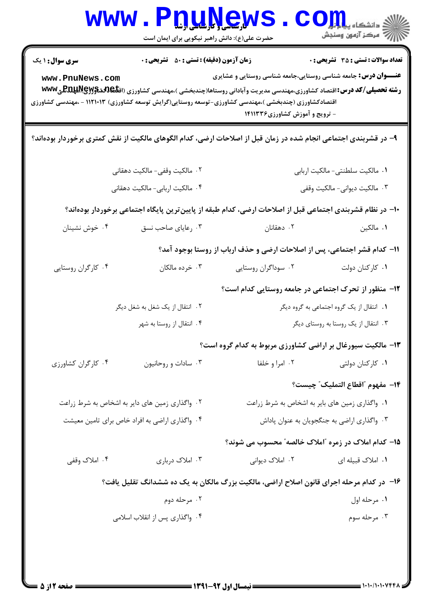| WWW                                                                                                                                               | <b>کارساسی و تارسلسی ارشا</b><br>حضرت علی(ع): دانش راهبر نیکویی برای ایمان است |                                                                                                                                                                                                                                                     | ه دانشکاه پ <b>یا با تو</b><br>أأأأ مركز آزمون وسنجش |
|---------------------------------------------------------------------------------------------------------------------------------------------------|--------------------------------------------------------------------------------|-----------------------------------------------------------------------------------------------------------------------------------------------------------------------------------------------------------------------------------------------------|------------------------------------------------------|
| <b>سری سوال : ۱ یک</b><br>www.PnuNews.com<br>اقتصادکشاورزی (چندبخشی )،مهندسی کشاورزی-توسعه روستایی(گرایش توسعه کشاورزی) ۱۱۲۱۰۱۳ - ،مهندسی کشاورزی | <b>زمان آزمون (دقیقه) : تستی : 50 ٪ تشریحی : 0</b>                             | <b>عنـــوان درس:</b> جامعه شناسی روستایی،جامعه شناسی روستایی و عشایری<br><b>رشته تحصیلی/کد درس: ا</b> قتصاد کشاورزی،مهندسی مدیریت وآبادانی روستاها(چندبخشی )،مهندسی کشاورزی (اق <b>تلکالهلاپوچاللهلاللهی www</b><br>- ترویج و آموزش کشاورزی ۱۴۱۱۳۳۶ | <b>تعداد سوالات : تستی : 35 ٪ تشریحی : 0</b>         |
| ۹– در قشربندی اجتماعی انجام شده در زمان قبل از اصلاحات ارضی، کدام الگوهای مالکیت از نقش کمتری برخوردار بودهاند؟                                   |                                                                                |                                                                                                                                                                                                                                                     |                                                      |
|                                                                                                                                                   | ٠٢ مالكيت وقفي- مالكيت دهقاني                                                  |                                                                                                                                                                                                                                                     | ٠١. مالكيت سلطنتي- مالكيت اربابي                     |
|                                                                                                                                                   | ۰۴ مالکیت اربابی- مالکیت دهقانی<br>۰۳ مالکیت دیوانی- مالکیت وقفی               |                                                                                                                                                                                                                                                     |                                                      |
| ∙ا− در نظام قشربندی اجتماعی قبل از اصلاحات ارضی، کدام طبقه از پایینترین پایگاه اجتماعی برخوردار بودهاند؟                                          |                                                                                |                                                                                                                                                                                                                                                     |                                                      |
| ۰۴ خوش نشینان                                                                                                                                     | ۰۳ رعایای صاحب نسق                                                             | ۰۲ دهقانان                                                                                                                                                                                                                                          | ٠١. مالكين                                           |
|                                                                                                                                                   |                                                                                | 1۱– کدام قشر اجتماعی، پس از اصلاحات ارضی و حذف ارباب از روستا بوجود آمد؟                                                                                                                                                                            |                                                      |
| ۰۴ کارگران روستایی                                                                                                                                | ۰۳ خرده مالکان                                                                 | ۰۲ سوداگران روستایی                                                                                                                                                                                                                                 | ۰۱ کارکنان دولت                                      |
|                                                                                                                                                   |                                                                                | ۱۲- منظور از تحرک اجتماعی در جامعه روستایی کدام است؟                                                                                                                                                                                                |                                                      |
|                                                                                                                                                   | ۲. انتقال از یک شغل به شغل دیگر                                                |                                                                                                                                                                                                                                                     | ۰۱ انتقال از یک گروه اجتماعی به گروه دیگر            |
|                                                                                                                                                   | ۰۴ انتقال از روستا به شهر                                                      |                                                                                                                                                                                                                                                     | ۰۳ انتقال از یک روستا به روستای دیگر                 |
|                                                                                                                                                   |                                                                                | ۱۳- مالکیت سیورغال بر اراضی کشاورزی مربوط به کدام گروه است؟                                                                                                                                                                                         |                                                      |
| ۰۴ کارگران کشاورزی                                                                                                                                | ۰۳ سادات و روحانیون                                                            | ۰۲ امرا و خلفا                                                                                                                                                                                                                                      | ۰۱ کارکنان دولتی                                     |
|                                                                                                                                                   |                                                                                |                                                                                                                                                                                                                                                     | 1۴– مفهوم ″اقطاع التمليك″ چيست؟                      |
| ۰۲ واگذاری زمین های دایر به اشخاص به شرط زراعت                                                                                                    |                                                                                | ۰۱ واگذاری زمین های بایر به اشخاص به شرط زراعت                                                                                                                                                                                                      |                                                      |
| ۰۴ واگذاری اراضی به افراد خاص برای تامین معیشت                                                                                                    |                                                                                |                                                                                                                                                                                                                                                     | ۰۳ واگذاری اراضی به جنگجویان به عنوان پاداش          |
|                                                                                                                                                   |                                                                                | ۱۵– کدام املاک در زمره "املاک خالصه" محسوب می شوند؟                                                                                                                                                                                                 |                                                      |
| ۰۴ املاک وقفی                                                                                                                                     | ۰۳ املاک درباری                                                                | ۰۲ املاک دیوانی                                                                                                                                                                                                                                     | ۰۱ املاک قبیله ای                                    |
|                                                                                                                                                   |                                                                                | ۱۶- در کدام مرحله اجرای قانون اصلاح اراضی، مالکیت بزرگ مالکان به یک ده ششدانگ تقلیل یافت؟                                                                                                                                                           |                                                      |
|                                                                                                                                                   | ۰۲ مرحله دوم                                                                   |                                                                                                                                                                                                                                                     | ٠١ مرحله اول                                         |
|                                                                                                                                                   | ۰۴ واگذاری پس از انقلاب اسلامی                                                 |                                                                                                                                                                                                                                                     | ۰۳ مرحله سوم                                         |
|                                                                                                                                                   |                                                                                |                                                                                                                                                                                                                                                     |                                                      |
|                                                                                                                                                   |                                                                                |                                                                                                                                                                                                                                                     |                                                      |

4 Y H

51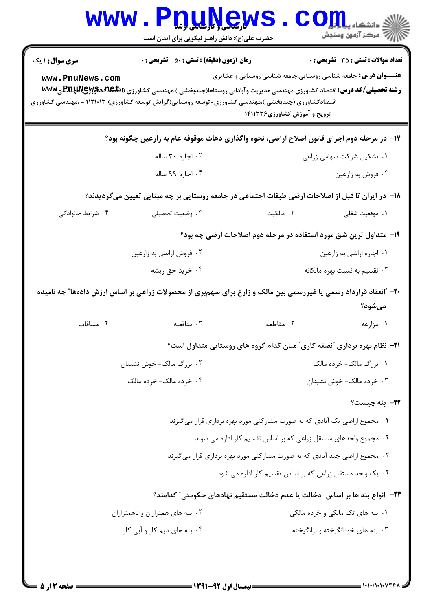|                        | www.PnuNews.<br>حضرت علی(ع): دانش راهبر نیکویی برای ایمان است                                                                                                                                                                                  |                                                                                                         | الله دانشگاه پي <b>ابولو CO</b><br>الله عرکز آزمون وسنڊش |
|------------------------|------------------------------------------------------------------------------------------------------------------------------------------------------------------------------------------------------------------------------------------------|---------------------------------------------------------------------------------------------------------|----------------------------------------------------------|
| <b>سری سوال : ۱ یک</b> | <b>زمان آزمون (دقیقه) : تستی : 50 ٪ تشریحی : 0</b>                                                                                                                                                                                             |                                                                                                         | <b>تعداد سوالات : تستي : 35 - تشريحي : 0</b>             |
| www.PnuNews.com        | <b>رشته تحصیلی/کد درس:</b> اقتصاد کشاورزی،مهندسی مدیریت وآبادانی روستاها(چندبخشی )،مهندسی کشاورزی (اق <b>تلکالدیپلیلپولیلکل با WWW</b><br>اقتصادکشاورزی (چندبخشی )،مهندسی کشاورزی-توسعه روستایی(گرایش توسعه کشاورزی) ۱۱۲۱۰۱۳ - ،مهندسی کشاورزی | <b>عنـــوان درس:</b> جامعه شناسی روستایی،جامعه شناسی روستایی و عشایری<br>- ترویج و آموزش کشاورزی۱۴۱۱۳۳۶ |                                                          |
|                        | ۱۷– در مرحله دوم اجرای قانون اصلاح اراضی، نحوه واگذاری دهات موقوفه عام به زارعین چگونه بود؟                                                                                                                                                    |                                                                                                         |                                                          |
|                        | ۰۲ اجاره ۳۰ ساله                                                                                                                                                                                                                               |                                                                                                         | ۰۱ تشکیل شرکت سهامی زراعی                                |
|                        | ۰۴ اجاره ۹۹ ساله                                                                                                                                                                                                                               |                                                                                                         | ۰۳ فروش به زارعین                                        |
|                        | ۱۸− در ایران تا قبل از اصلاحات ارضی طبقات اجتماعی در جامعه روستایی بر چه مبنایی تعیین میگردیدند؟                                                                                                                                               |                                                                                                         |                                                          |
| ۰۴ شرایط خانوادگی      | ۰۳ وضعیت تحصیلی                                                                                                                                                                                                                                | ۰۲ مالکیت                                                                                               | ٠١ موقعيت شغلي                                           |
|                        |                                                                                                                                                                                                                                                | ۱۹- متداول ترین شق مورد استفاده در مرحله دوم اصلاحات ارضی چه بود؟                                       |                                                          |
|                        | ۰۲ فروش اراضي به زارعين                                                                                                                                                                                                                        |                                                                                                         | ٠١ اجاره اراضي به زارعين                                 |
|                        | ۰۴ خرید حق ریشه                                                                                                                                                                                                                                |                                                                                                         | ۰۳ تقسیم به نسبت بهره مالکانه                            |
|                        | ۲۰– "انعقاد قرارداد رسمی یا غیررسمی بین مالک و زارع برای سهمبری از محصولات زراعی بر اساس ارزش دادهها" چه نامیده                                                                                                                                |                                                                                                         | مىشود؟                                                   |
| ۰۴ مساقات              | ۰۳ مناقصه                                                                                                                                                                                                                                      | ۰۲ مقاطعه                                                                                               | ۰۱ مزارعه                                                |
|                        |                                                                                                                                                                                                                                                | <b>۳۱</b> - نظام بهره برداری "نصفه کاری" میان کدام گروه های روستایی متداول است؟                         |                                                          |
|                        | ۰۲ بزرگ مالک- خوش نشینان                                                                                                                                                                                                                       |                                                                                                         | ۰۱ بزرگ مالک- خرده مالک                                  |
|                        | ۰۴ خرده مالک-خرده مالک                                                                                                                                                                                                                         |                                                                                                         | ۰۳ خرده مالک- خوش نشینان                                 |
|                        |                                                                                                                                                                                                                                                |                                                                                                         | ٢٢- بنه چيست؟                                            |
|                        |                                                                                                                                                                                                                                                | ۰۱ مجموع اراضی یک آبادی که به صورت مشارکتی مورد بهره برداری قرار میگیرند                                |                                                          |
|                        |                                                                                                                                                                                                                                                | ۰۲ مجموع واحدهای مستقل زراعی که بر اساس تقسیم کار اداره می شوند                                         |                                                          |
|                        |                                                                                                                                                                                                                                                | ۰۳ مجموع اراضی چند آبادی که به صورت مشارکتی مورد بهره برداری قرار میگیرند                               |                                                          |
|                        |                                                                                                                                                                                                                                                | ۰۴ یک واحد مستقل زراعی که بر اساس تقسیم کار اداره می شود                                                |                                                          |
|                        |                                                                                                                                                                                                                                                | ۲۳−  انواع بنه ها بر اساس ″دخالت یا عدم دخالت مستقیم نهادهای حکومتی″ کدامند؟                            |                                                          |
|                        | ۰۲ بنه های همترازان و ناهمترازان                                                                                                                                                                                                               |                                                                                                         | ۰۱ بنه های تک مالکی و خرده مالکی                         |
|                        | ۰۴ بنه های دیم کار و آبی کار                                                                                                                                                                                                                   |                                                                                                         | ۰۳ بنه های خودانگیخته و برانگیخته                        |
|                        |                                                                                                                                                                                                                                                |                                                                                                         |                                                          |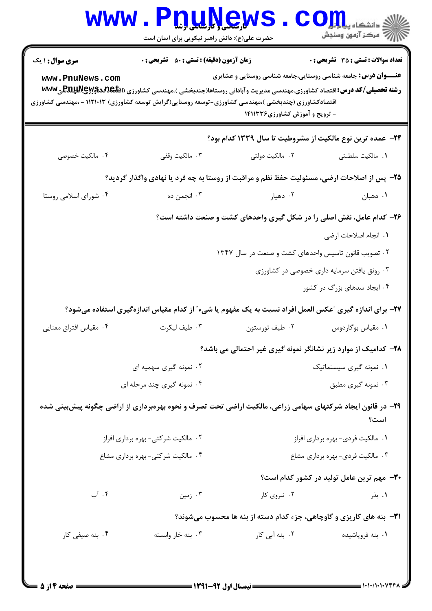| <b>WWW</b>                                                                                                              | حضرت علی(ع): دانش راهبر نیکویی برای ایمان است      | <b>TTMLXEWR</b>                                                                                                                                                                                                                                  | دانشکاه پ <b>یا با بال</b><br>راز آمرڪز آزمون وسنڊش |
|-------------------------------------------------------------------------------------------------------------------------|----------------------------------------------------|--------------------------------------------------------------------------------------------------------------------------------------------------------------------------------------------------------------------------------------------------|-----------------------------------------------------|
| سری سوال: ۱ یک                                                                                                          | <b>زمان آزمون (دقیقه) : تستی : 50 ٪ تشریحی : 0</b> |                                                                                                                                                                                                                                                  | تعداد سوالات : تستي : 35 ٪ تشريحي : 0               |
| www.PnuNews.com<br>اقتصادکشاورزی (چندبخشی )،مهندسی کشاورزی-توسعه روستایی(گرایش توسعه کشاورزی) ۱۱۲۱۰۱۳ - ،مهندسی کشاورزی |                                                    | <b>عنـــوان درس:</b> جامعه شناسی روستایی،جامعه شناسی روستایی و عشایری<br><b>رشته تحصیلی/کد درس: ا</b> قتصاد کشاورزی،مهندسی مدیریت وآبادانی روستاها(چندبخشی )،مهندسی کشاورزی (اق <b>تلیCRRRAR) للپRR</b> E فWW<br>- ترویج و آموزش کشاورزی ۱۴۱۱۳۳۶ |                                                     |
|                                                                                                                         |                                                    |                                                                                                                                                                                                                                                  |                                                     |
| ۰۴ مالکیت خصوصی                                                                                                         | ۰۳ مالکیت وقفی                                     | ۲۴− عمده ترین نوع مالکیت از مشروطیت تا سال ۱۳۳۹ کدام بود؟<br>۲. مالکیت دولتی                                                                                                                                                                     | ٠١. مالكيت سلطنتي                                   |
|                                                                                                                         |                                                    | ۲۵– پس از اصلاحات ارضی، مسئولیت حفظ نظم و مراقبت از روستا به چه فرد یا نهادی واگذار گردید؟                                                                                                                                                       |                                                     |
| ۰۴ شورای اسلامی روستا                                                                                                   | ۰۳ انجمن ده                                        | ۰۲ دهیار                                                                                                                                                                                                                                         | ۰۱ دهبان                                            |
|                                                                                                                         |                                                    | ۲۶- کدام عامل، نقش اصلی را در شکل گیری واحدهای کشت و صنعت داشته است؟                                                                                                                                                                             |                                                     |
|                                                                                                                         |                                                    |                                                                                                                                                                                                                                                  | ٠١. انجام اصلاحات ارضى                              |
|                                                                                                                         |                                                    | ۰۲ تصویب قانون تاسیس واحدهای کشت و صنعت در سال ۱۳۴۷                                                                                                                                                                                              |                                                     |
|                                                                                                                         |                                                    |                                                                                                                                                                                                                                                  | ۰۳ رونق یافتن سرمایه داری خصوصی در کشاورزی          |
|                                                                                                                         |                                                    |                                                                                                                                                                                                                                                  | ۰۴ ایجاد سدهای بزرگ در کشور                         |
|                                                                                                                         |                                                    | ۲۷- برای اندازه گیری "عکس العمل افراد نسبت به یک مفهوم یا شیء" از کدام مقیاس اندازهگیری استفاده میشود؟                                                                                                                                           |                                                     |
| ۰۴ مقیاس افتراق معنایی                                                                                                  | ۰۳ طيف ليکرت                                       | ۰۲ طيف تورستون                                                                                                                                                                                                                                   | ٠١ مقياس بوگاردوس                                   |
|                                                                                                                         |                                                    | ۲۸- کدامیک از موارد زیر نشانگر نمونه گیری غیر احتمالی می باشد؟                                                                                                                                                                                   |                                                     |
|                                                                                                                         | ۰۲ نمونه گیری سهمیه ای                             |                                                                                                                                                                                                                                                  | ۰۱ نمونه گیری سیستماتیک                             |
|                                                                                                                         | ۰۴ نمونه گیری چند مرحله ای                         |                                                                                                                                                                                                                                                  | ۰۳ نمونه گیری مطبق                                  |
|                                                                                                                         |                                                    | ۲۹- در قانون ایجاد شرکتهای سهامی زراعی، مالکیت اراضی تحت تصرف و نحوه بهرهبرداری از اراضی چگونه پیش بینی شده                                                                                                                                      | است؟                                                |
|                                                                                                                         | ۰۲ مالکیت شرکتی- بهره برداری افراز                 |                                                                                                                                                                                                                                                  | ۰۱ مالکیت فردی- بهره برداری افراز                   |
|                                                                                                                         | ۰۴ مالکیت شرکتی- بهره برداری مشاع                  |                                                                                                                                                                                                                                                  | ۰۳ مالکیت فردی- بهره برداری مشاع                    |
|                                                                                                                         |                                                    |                                                                                                                                                                                                                                                  | <b>۳۰</b> - مهم ترین عامل تولید در کشور کدام است؟   |
| ۰۴ آب                                                                                                                   | ۰۳ زمین                                            | ۰۲ نیروی کار                                                                                                                                                                                                                                     | ۰۱ بذر                                              |
|                                                                                                                         |                                                    | <b>۳۱</b> - بنه های کاریزی و گاوچاهی، جزء کدام دسته از بنه ها محسوب میشوند؟                                                                                                                                                                      |                                                     |
| ۰۴ بنه صیفی کار                                                                                                         | ۰۳ بنه خار وابسته                                  | ۰۲ بنه آبی کار                                                                                                                                                                                                                                   | ۰۱ بنه فروپاشیده                                    |
|                                                                                                                         |                                                    |                                                                                                                                                                                                                                                  |                                                     |
|                                                                                                                         |                                                    |                                                                                                                                                                                                                                                  |                                                     |

 $: 1.1.11.1.1$